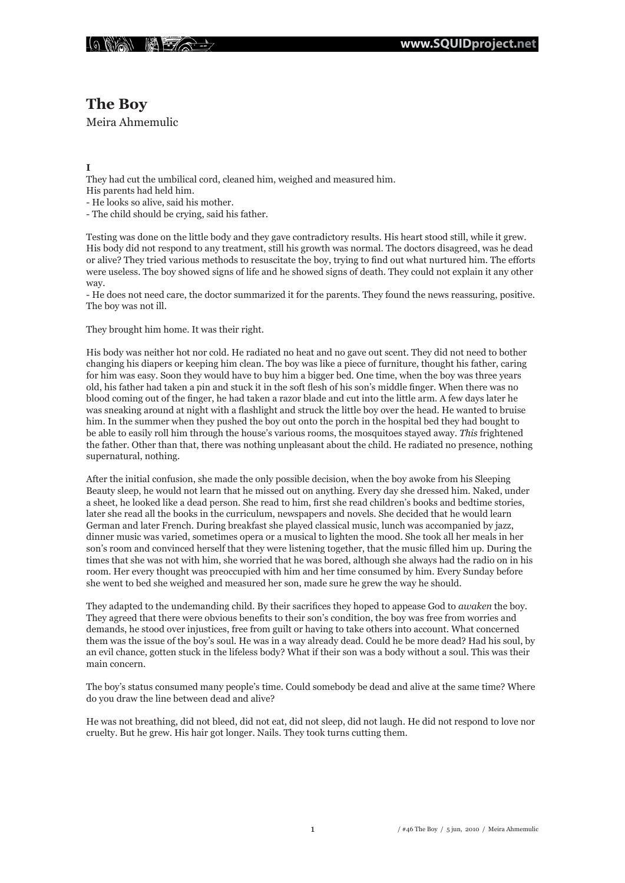

# **The Boy**

Meira Ahmemulic

## **I**

They had cut the umbilical cord, cleaned him, weighed and measured him. His parents had held him.

- He looks so alive, said his mother.

- The child should be crying, said his father.

Testing was done on the little body and they gave contradictory results. His heart stood still, while it grew. His body did not respond to any treatment, still his growth was normal. The doctors disagreed, was he dead or alive? They tried various methods to resuscitate the boy, trying to find out what nurtured him. The efforts were useless. The boy showed signs of life and he showed signs of death. They could not explain it any other way.

- He does not need care, the doctor summarized it for the parents. They found the news reassuring, positive. The boy was not ill.

They brought him home. It was their right.

His body was neither hot nor cold. He radiated no heat and no gave out scent. They did not need to bother changing his diapers or keeping him clean. The boy was like a piece of furniture, thought his father, caring for him was easy. Soon they would have to buy him a bigger bed. One time, when the boy was three years old, his father had taken a pin and stuck it in the soft flesh of his son's middle finger. When there was no blood coming out of the finger, he had taken a razor blade and cut into the little arm. A few days later he was sneaking around at night with a flashlight and struck the little boy over the head. He wanted to bruise him. In the summer when they pushed the boy out onto the porch in the hospital bed they had bought to be able to easily roll him through the house's various rooms, the mosquitoes stayed away. *This* frightened the father. Other than that, there was nothing unpleasant about the child. He radiated no presence, nothing supernatural, nothing.

After the initial confusion, she made the only possible decision, when the boy awoke from his Sleeping Beauty sleep, he would not learn that he missed out on anything. Every day she dressed him. Naked, under a sheet, he looked like a dead person. She read to him, first she read children's books and bedtime stories, later she read all the books in the curriculum, newspapers and novels. She decided that he would learn German and later French. During breakfast she played classical music, lunch was accompanied by jazz, dinner music was varied, sometimes opera or a musical to lighten the mood. She took all her meals in her son's room and convinced herself that they were listening together, that the music filled him up. During the times that she was not with him, she worried that he was bored, although she always had the radio on in his room. Her every thought was preoccupied with him and her time consumed by him. Every Sunday before she went to bed she weighed and measured her son, made sure he grew the way he should.

They adapted to the undemanding child. By their sacrifices they hoped to appease God to *awaken* the boy. They agreed that there were obvious benefits to their son's condition, the boy was free from worries and demands, he stood over injustices, free from guilt or having to take others into account. What concerned them was the issue of the boy's soul. He was in a way already dead. Could he be more dead? Had his soul, by an evil chance, gotten stuck in the lifeless body? What if their son was a body without a soul. This was their main concern.

The boy's status consumed many people's time. Could somebody be dead and alive at the same time? Where do you draw the line between dead and alive?

He was not breathing, did not bleed, did not eat, did not sleep, did not laugh. He did not respond to love nor cruelty. But he grew. His hair got longer. Nails. They took turns cutting them.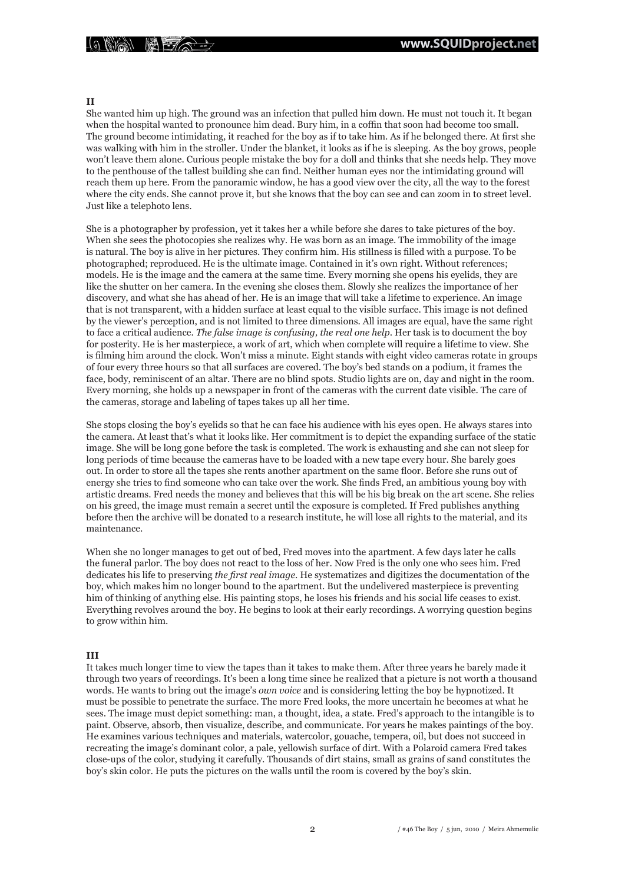#### **II**

She wanted him up high. The ground was an infection that pulled him down. He must not touch it. It began when the hospital wanted to pronounce him dead. Bury him, in a coffin that soon had become too small. The ground become intimidating, it reached for the boy as if to take him. As if he belonged there. At first she was walking with him in the stroller. Under the blanket, it looks as if he is sleeping. As the boy grows, people won't leave them alone. Curious people mistake the boy for a doll and thinks that she needs help. They move to the penthouse of the tallest building she can find. Neither human eyes nor the intimidating ground will reach them up here. From the panoramic window, he has a good view over the city, all the way to the forest where the city ends. She cannot prove it, but she knows that the boy can see and can zoom in to street level. Just like a telephoto lens.

She is a photographer by profession, yet it takes her a while before she dares to take pictures of the boy. When she sees the photocopies she realizes why. He was born as an image. The immobility of the image is natural. The boy is alive in her pictures. They confirm him. His stillness is filled with a purpose. To be photographed; reproduced. He is the ultimate image. Contained in it's own right. Without references; models. He is the image and the camera at the same time. Every morning she opens his eyelids, they are like the shutter on her camera. In the evening she closes them. Slowly she realizes the importance of her discovery, and what she has ahead of her. He is an image that will take a lifetime to experience. An image that is not transparent, with a hidden surface at least equal to the visible surface. This image is not defined by the viewer's perception, and is not limited to three dimensions. All images are equal, have the same right to face a critical audience. *The false image is confusing, the real one help*. Her task is to document the boy for posterity. He is her masterpiece, a work of art, which when complete will require a lifetime to view. She is filming him around the clock. Won't miss a minute. Eight stands with eight video cameras rotate in groups of four every three hours so that all surfaces are covered. The boy's bed stands on a podium, it frames the face, body, reminiscent of an altar. There are no blind spots. Studio lights are on, day and night in the room. Every morning, she holds up a newspaper in front of the cameras with the current date visible. The care of the cameras, storage and labeling of tapes takes up all her time.

She stops closing the boy's eyelids so that he can face his audience with his eyes open. He always stares into the camera. At least that's what it looks like. Her commitment is to depict the expanding surface of the static image. She will be long gone before the task is completed. The work is exhausting and she can not sleep for long periods of time because the cameras have to be loaded with a new tape every hour. She barely goes out. In order to store all the tapes she rents another apartment on the same floor. Before she runs out of energy she tries to find someone who can take over the work. She finds Fred, an ambitious young boy with artistic dreams. Fred needs the money and believes that this will be his big break on the art scene. She relies on his greed, the image must remain a secret until the exposure is completed. If Fred publishes anything before then the archive will be donated to a research institute, he will lose all rights to the material, and its maintenance.

When she no longer manages to get out of bed, Fred moves into the apartment. A few days later he calls the funeral parlor. The boy does not react to the loss of her. Now Fred is the only one who sees him. Fred dedicates his life to preserving *the first real image*. He systematizes and digitizes the documentation of the boy, which makes him no longer bound to the apartment. But the undelivered masterpiece is preventing him of thinking of anything else. His painting stops, he loses his friends and his social life ceases to exist. Everything revolves around the boy. He begins to look at their early recordings. A worrying question begins to grow within him.

### **III**

It takes much longer time to view the tapes than it takes to make them. After three years he barely made it through two years of recordings. It's been a long time since he realized that a picture is not worth a thousand words. He wants to bring out the image's *own voice* and is considering letting the boy be hypnotized. It must be possible to penetrate the surface. The more Fred looks, the more uncertain he becomes at what he sees. The image must depict something: man, a thought, idea, a state. Fred's approach to the intangible is to paint. Observe, absorb, then visualize, describe, and communicate. For years he makes paintings of the boy. He examines various techniques and materials, watercolor, gouache, tempera, oil, but does not succeed in recreating the image's dominant color, a pale, yellowish surface of dirt. With a Polaroid camera Fred takes close-ups of the color, studying it carefully. Thousands of dirt stains, small as grains of sand constitutes the boy's skin color. He puts the pictures on the walls until the room is covered by the boy's skin.